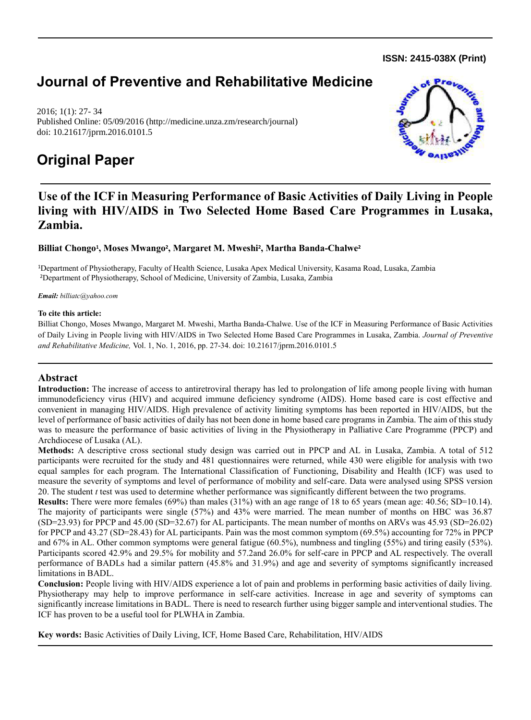**ISSN: 2415-038X (Print)** 

# **Journal of Preventive and Rehabilitative Medicine**

2016; 1(1): 27- 34 Published Online: 05/09/2016 (http://medicine.unza.zm/research/journal) doi: 10.21617/jprm.2016.0101.5

## **Original Paper**



## **Use of the ICF in Measuring Performance of Basic Activities of Daily Living in People living with HIV/AIDS in Two Selected Home Based Care Programmes in Lusaka, Zambia.**

## **Billiat Chongo<sup>1</sup> , Moses Mwango<sup>2</sup> , Margaret M. Mweshi<sup>2</sup> , Martha Banda-Chalwe<sup>2</sup>**

<sup>1</sup>Department of Physiotherapy, Faculty of Health Science, Lusaka Apex Medical University, Kasama Road, Lusaka, Zambia <sup>2</sup>Department of Physiotherapy, School of Medicine, University of Zambia, Lusaka, Zambia

#### *Email: [billiatc@yahoo.com](mailto:billiatc@yahoo.com)*

#### **To cite this article:**

Billiat Chongo, Moses Mwango, Margaret M. Mweshi, Martha Banda-Chalwe. Use of the ICF in Measuring Performance of Basic Activities of Daily Living in People living with HIV/AIDS in Two Selected Home Based Care Programmes in Lusaka, Zambia. *Journal of Preventive and Rehabilitative Medicine,* Vol. 1, No. 1, 2016, pp. 27-34. doi: 10.21617/jprm.2016.0101.5

## **Abstract**

**Introduction:** The increase of access to antiretroviral therapy has led to prolongation of life among people living with human immunodeficiency virus (HIV) and acquired immune deficiency syndrome (AIDS). Home based care is cost effective and convenient in managing HIV/AIDS. High prevalence of activity limiting symptoms has been reported in HIV/AIDS, but the level of performance of basic activities of daily has not been done in home based care programs in Zambia. The aim of this study was to measure the performance of basic activities of living in the Physiotherapy in Palliative Care Programme (PPCP) and Archdiocese of Lusaka (AL).

**Methods:** A descriptive cross sectional study design was carried out in PPCP and AL in Lusaka, Zambia. A total of 512 participants were recruited for the study and 481 questionnaires were returned, while 430 were eligible for analysis with two equal samples for each program. The International Classification of Functioning, Disability and Health (ICF) was used to measure the severity of symptoms and level of performance of mobility and self-care. Data were analysed using SPSS version 20. The student *t* test was used to determine whether performance was significantly different between the two programs.

**Results:** There were more females (69%) than males (31%) with an age range of 18 to 65 years (mean age: 40.56; SD=10.14). The majority of participants were single (57%) and 43% were married. The mean number of months on HBC was 36.87  $(SD=23.93)$  for PPCP and 45.00  $(SD=32.67)$  for AL participants. The mean number of months on ARVs was 45.93  $(SD=26.02)$ for PPCP and 43.27 (SD=28.43) for AL participants. Pain was the most common symptom (69.5%) accounting for 72% in PPCP and 67% in AL. Other common symptoms were general fatigue (60.5%), numbness and tingling (55%) and tiring easily (53%). Participants scored 42.9% and 29.5% for mobility and 57.2and 26.0% for self-care in PPCP and AL respectively. The overall performance of BADLs had a similar pattern (45.8% and 31.9%) and age and severity of symptoms significantly increased limitations in BADL.

**Conclusion:** People living with HIV/AIDS experience a lot of pain and problems in performing basic activities of daily living. Physiotherapy may help to improve performance in self-care activities. Increase in age and severity of symptoms can significantly increase limitations in BADL. There is need to research further using bigger sample and interventional studies. The ICF has proven to be a useful tool for PLWHA in Zambia.

**Key words:** Basic Activities of Daily Living, ICF, Home Based Care, Rehabilitation, HIV/AIDS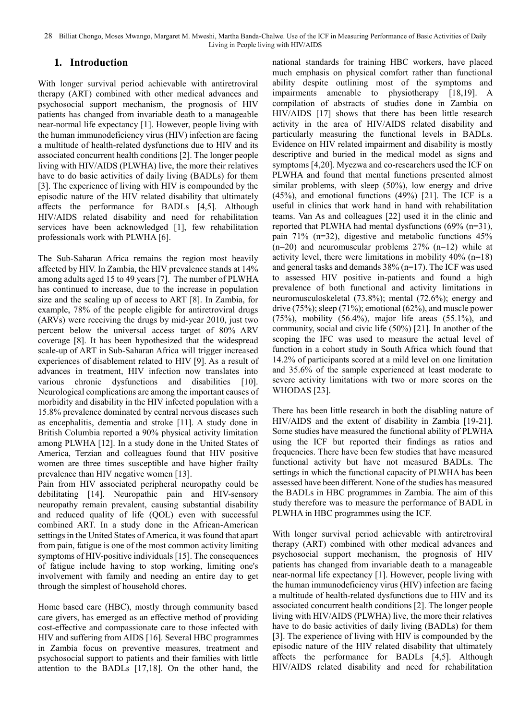## **1. Introduction**

With longer survival period achievable with antiretroviral therapy (ART) combined with other medical advances and psychosocial support mechanism, the prognosis of HIV patients has changed from invariable death to a manageable near-normal life expectancy [1]. However, people living with the human immunodeficiency virus (HIV) infection are facing a multitude of health-related dysfunctions due to HIV and its associated concurrent health conditions [2]. The longer people living with HIV/AIDS (PLWHA) live, the more their relatives have to do basic activities of daily living (BADLs) for them [3]. The experience of living with HIV is compounded by the episodic nature of the HIV related disability that ultimately affects the performance for BADLs [4,5]. Although HIV/AIDS related disability and need for rehabilitation services have been acknowledged [1], few rehabilitation professionals work with PLWHA [6].

The Sub-Saharan Africa remains the region most heavily affected by HIV. In Zambia, the HIV prevalence stands at 14% among adults aged 15 to 49 years [7]. The number of PLWHA has continued to increase, due to the increase in population size and the scaling up of access to ART [8]. In Zambia, for example, 78% of the people eligible for antiretroviral drugs (ARVs) were receiving the drugs by mid-year 2010, just two percent below the universal access target of 80% ARV coverage [8]. It has been hypothesized that the widespread scale-up of ART in Sub-Saharan Africa will trigger increased experiences of disablement related to HIV [9]. As a result of advances in treatment, HIV infection now translates into various chronic dysfunctions and disabilities [10]. Neurological complications are among the important causes of morbidity and disability in the HIV infected population with a 15.8% prevalence dominated by central nervous diseases such as encephalitis, dementia and stroke [11]. A study done in British Columbia reported a 90% physical activity limitation among PLWHA [12]. In a study done in the United States of America, Terzian and colleagues found that HIV positive women are three times susceptible and have higher frailty prevalence than HIV negative women [13].

Pain from HIV associated peripheral neuropathy could be debilitating [14]. Neuropathic pain and HIV-sensory neuropathy remain prevalent, causing substantial disability and reduced quality of life (QOL) even with successful combined ART. In a study done in the African-American settings in the United States of America, it was found that apart from pain, fatigue is one of the most common activity limiting symptoms of HIV-positive individuals [15]. The consequences of fatigue include having to stop working, limiting one's involvement with family and needing an entire day to get through the simplest of household chores.

Home based care (HBC), mostly through community based care givers, has emerged as an effective method of providing cost-effective and compassionate care to those infected with HIV and suffering from AIDS [16]. Several HBC programmes in Zambia focus on preventive measures, treatment and psychosocial support to patients and their families with little attention to the BADLs [17,18]. On the other hand, the

national standards for training HBC workers, have placed much emphasis on physical comfort rather than functional ability despite outlining most of the symptoms and impairments amenable to physiotherapy [18,19]. A compilation of abstracts of studies done in Zambia on HIV/AIDS [17] shows that there has been little research activity in the area of HIV/AIDS related disability and particularly measuring the functional levels in BADLs. Evidence on HIV related impairment and disability is mostly descriptive and buried in the medical model as signs and symptoms [4,20]. Myezwa and co-researchers used the ICF on PLWHA and found that mental functions presented almost similar problems, with sleep (50%), low energy and drive (45%), and emotional functions (49%) [21]. The ICF is a useful in clinics that work hand in hand with rehabilitation teams. Van As and colleagues [22] used it in the clinic and reported that PLWHA had mental dysfunctions (69% (n=31), pain 71% (n=32), digestive and metabolic functions 45%  $(n=20)$  and neuromuscular problems 27%  $(n=12)$  while at activity level, there were limitations in mobility  $40\%$  (n=18) and general tasks and demands 38% (n=17). The ICF was used to assessed HIV positive in-patients and found a high prevalence of both functional and activity limitations in neuromusculoskeletal (73.8%); mental (72.6%); energy and drive (75%); sleep (71%); emotional (62%), and muscle power  $(75%)$ , mobility  $(56.4%)$ , major life areas  $(55.1%)$ , and community, social and civic life (50%) [21]. In another of the scoping the IFC was used to measure the actual level of function in a cohort study in South Africa which found that 14.2% of participants scored at a mild level on one limitation and 35.6% of the sample experienced at least moderate to severe activity limitations with two or more scores on the WHODAS [23].

There has been little research in both the disabling nature of HIV/AIDS and the extent of disability in Zambia [19-21]. Some studies have measured the functional ability of PLWHA using the ICF but reported their findings as ratios and frequencies. There have been few studies that have measured functional activity but have not measured BADLs. The settings in which the functional capacity of PLWHA has been assessed have been different. None of the studies has measured the BADLs in HBC programmes in Zambia. The aim of this study therefore was to measure the performance of BADL in PLWHA in HBC programmes using the ICF.

With longer survival period achievable with antiretroviral therapy (ART) combined with other medical advances and psychosocial support mechanism, the prognosis of HIV patients has changed from invariable death to a manageable near-normal life expectancy [1]. However, people living with the human immunodeficiency virus (HIV) infection are facing a multitude of health-related dysfunctions due to HIV and its associated concurrent health conditions [2]. The longer people living with HIV/AIDS (PLWHA) live, the more their relatives have to do basic activities of daily living (BADLs) for them [3]. The experience of living with HIV is compounded by the episodic nature of the HIV related disability that ultimately affects the performance for BADLs [4,5]. Although HIV/AIDS related disability and need for rehabilitation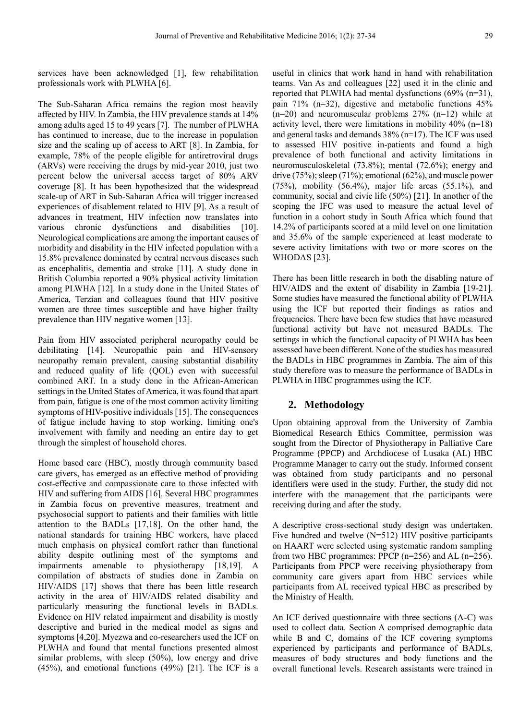services have been acknowledged [1], few rehabilitation professionals work with PLWHA [6].

The Sub-Saharan Africa remains the region most heavily affected by HIV. In Zambia, the HIV prevalence stands at 14% among adults aged 15 to 49 years [7]. The number of PLWHA has continued to increase, due to the increase in population size and the scaling up of access to ART [8]. In Zambia, for example, 78% of the people eligible for antiretroviral drugs (ARVs) were receiving the drugs by mid-year 2010, just two percent below the universal access target of 80% ARV coverage [8]. It has been hypothesized that the widespread scale-up of ART in Sub-Saharan Africa will trigger increased experiences of disablement related to HIV [9]. As a result of advances in treatment, HIV infection now translates into various chronic dysfunctions and disabilities [10]. Neurological complications are among the important causes of morbidity and disability in the HIV infected population with a 15.8% prevalence dominated by central nervous diseases such as encephalitis, dementia and stroke [11]. A study done in British Columbia reported a 90% physical activity limitation among PLWHA [12]. In a study done in the United States of America, Terzian and colleagues found that HIV positive women are three times susceptible and have higher frailty prevalence than HIV negative women [13].

Pain from HIV associated peripheral neuropathy could be debilitating [14]. Neuropathic pain and HIV-sensory neuropathy remain prevalent, causing substantial disability and reduced quality of life (QOL) even with successful combined ART. In a study done in the African-American settings in the United States of America, it was found that apart from pain, fatigue is one of the most common activity limiting symptoms of HIV-positive individuals [15]. The consequences of fatigue include having to stop working, limiting one's involvement with family and needing an entire day to get through the simplest of household chores.

Home based care (HBC), mostly through community based care givers, has emerged as an effective method of providing cost-effective and compassionate care to those infected with HIV and suffering from AIDS [16]. Several HBC programmes in Zambia focus on preventive measures, treatment and psychosocial support to patients and their families with little attention to the BADLs [17,18]. On the other hand, the national standards for training HBC workers, have placed much emphasis on physical comfort rather than functional ability despite outlining most of the symptoms and impairments amenable to physiotherapy [18,19]. A compilation of abstracts of studies done in Zambia on HIV/AIDS [17] shows that there has been little research activity in the area of HIV/AIDS related disability and particularly measuring the functional levels in BADLs. Evidence on HIV related impairment and disability is mostly descriptive and buried in the medical model as signs and symptoms [4,20]. Myezwa and co-researchers used the ICF on PLWHA and found that mental functions presented almost similar problems, with sleep (50%), low energy and drive (45%), and emotional functions (49%) [21]. The ICF is a

useful in clinics that work hand in hand with rehabilitation teams. Van As and colleagues [22] used it in the clinic and reported that PLWHA had mental dysfunctions (69% (n=31), pain 71% (n=32), digestive and metabolic functions 45%  $(n=20)$  and neuromuscular problems  $27\%$   $(n=12)$  while at activity level, there were limitations in mobility  $40\%$  (n=18) and general tasks and demands 38% (n=17). The ICF was used to assessed HIV positive in-patients and found a high prevalence of both functional and activity limitations in neuromusculoskeletal (73.8%); mental (72.6%); energy and drive (75%); sleep (71%); emotional (62%), and muscle power (75%), mobility  $(56.4\%)$ , major life areas  $(55.1\%)$ , and community, social and civic life (50%) [21]. In another of the scoping the IFC was used to measure the actual level of function in a cohort study in South Africa which found that 14.2% of participants scored at a mild level on one limitation and 35.6% of the sample experienced at least moderate to severe activity limitations with two or more scores on the WHODAS [23].

There has been little research in both the disabling nature of HIV/AIDS and the extent of disability in Zambia [19-21]. Some studies have measured the functional ability of PLWHA using the ICF but reported their findings as ratios and frequencies. There have been few studies that have measured functional activity but have not measured BADLs. The settings in which the functional capacity of PLWHA has been assessed have been different. None of the studies has measured the BADLs in HBC programmes in Zambia. The aim of this study therefore was to measure the performance of BADLs in PLWHA in HBC programmes using the ICF.

#### **2. Methodology**

Upon obtaining approval from the University of Zambia Biomedical Research Ethics Committee, permission was sought from the Director of Physiotherapy in Palliative Care Programme (PPCP) and Archdiocese of Lusaka (AL) HBC Programme Manager to carry out the study. Informed consent was obtained from study participants and no personal identifiers were used in the study. Further, the study did not interfere with the management that the participants were receiving during and after the study.

A descriptive cross-sectional study design was undertaken. Five hundred and twelve (N=512) HIV positive participants on HAART were selected using systematic random sampling from two HBC programmes: PPCP (n=256) and AL (n=256). Participants from PPCP were receiving physiotherapy from community care givers apart from HBC services while participants from AL received typical HBC as prescribed by the Ministry of Health.

An ICF derived questionnaire with three sections (A-C) was used to collect data. Section A comprised demographic data while B and C, domains of the ICF covering symptoms experienced by participants and performance of BADLs, measures of body structures and body functions and the overall functional levels. Research assistants were trained in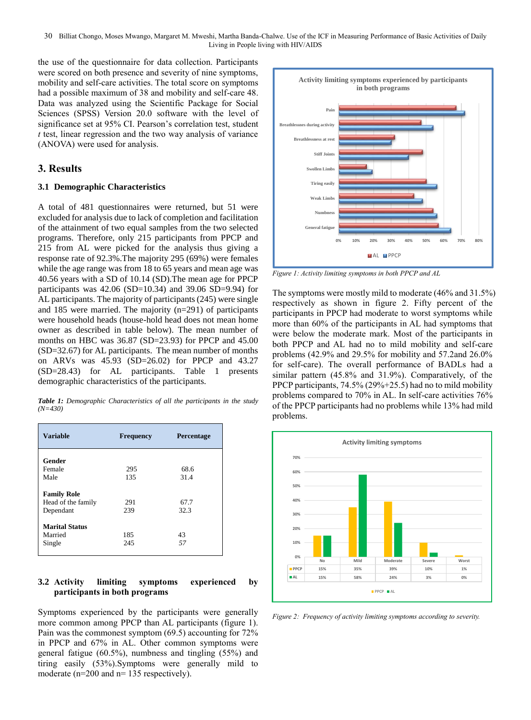the use of the questionnaire for data collection. Participants were scored on both presence and severity of nine symptoms, mobility and self-care activities. The total score on symptoms had a possible maximum of 38 and mobility and self-care 48. Data was analyzed using the Scientific Package for Social Sciences (SPSS) Version 20.0 software with the level of significance set at 95% CI. Pearson's correlation test, student *t* test, linear regression and the two way analysis of variance (ANOVA) were used for analysis.

### **3. Results**

#### **3.1 Demographic Characteristics**

A total of 481 questionnaires were returned, but 51 were excluded for analysis due to lack of completion and facilitation of the attainment of two equal samples from the two selected programs. Therefore, only 215 participants from PPCP and 215 from AL were picked for the analysis thus giving a response rate of 92.3%.The majority 295 (69%) were females while the age range was from 18 to 65 years and mean age was 40.56 years with a SD of 10.14 (SD).The mean age for PPCP participants was  $42.06$  (SD=10.34) and 39.06 SD=9.94) for AL participants. The majority of participants (245) were single and 185 were married. The majority (n=291) of participants were household heads (house-hold head does not mean home owner as described in table below). The mean number of months on HBC was 36.87 (SD=23.93) for PPCP and 45.00 (SD=32.67) for AL participants. The mean number of months on ARVs was 45.93 (SD=26.02) for PPCP and 43.27 (SD=28.43) for AL participants. Table 1 presents demographic characteristics of the participants.

*Table 1: Demographic Characteristics of all the participants in the study (N=430)*

| <b>Variable</b>       | <b>Frequency</b> | Percentage |
|-----------------------|------------------|------------|
| Gender                |                  |            |
| Female                | 295              | 68.6       |
| Male                  | 135              | 31.4       |
| <b>Family Role</b>    |                  |            |
| Head of the family    | 291              | 67.7       |
| Dependant             | 239              | 32.3       |
| <b>Marital Status</b> |                  |            |
| Married               | 185              | 43         |
| Single                | 245              | 57         |

#### **3.2 Activity limiting symptoms experienced by participants in both programs**

Symptoms experienced by the participants were generally more common among PPCP than AL participants (figure 1). Pain was the commonest symptom (69.5) accounting for 72% in PPCP and 67% in AL. Other common symptoms were general fatigue (60.5%), numbness and tingling (55%) and tiring easily (53%).Symptoms were generally mild to moderate (n=200 and n= 135 respectively).



*Figure 1: Activity limiting symptoms in both PPCP and AL*

The symptoms were mostly mild to moderate (46% and 31.5%) respectively as shown in figure 2. Fifty percent of the participants in PPCP had moderate to worst symptoms while more than 60% of the participants in AL had symptoms that were below the moderate mark. Most of the participants in both PPCP and AL had no to mild mobility and self-care problems (42.9% and 29.5% for mobility and 57.2and 26.0% for self-care). The overall performance of BADLs had a similar pattern (45.8% and 31.9%). Comparatively, of the PPCP participants, 74.5% (29%+25.5) had no to mild mobility problems compared to 70% in AL. In self-care activities 76% of the PPCP participants had no problems while 13% had mild problems.



*Figure 2: Frequency of activity limiting symptoms according to severity.*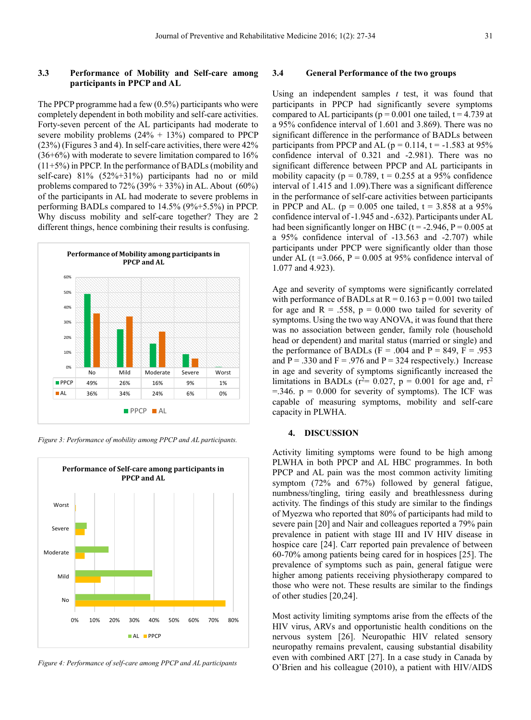#### **3.3 Performance of Mobility and Self-care among participants in PPCP and AL**

The PPCP programme had a few (0.5%) participants who were completely dependent in both mobility and self-care activities. Forty-seven percent of the AL participants had moderate to severe mobility problems  $(24\% + 13\%)$  compared to PPCP (23%) (Figures 3 and 4). In self-care activities, there were 42%  $(36+6%)$  with moderate to severe limitation compared to  $16%$ (11+5%) in PPCP. In the performance of BADLs (mobility and self-care) 81% (52%+31%) participants had no or mild problems compared to  $72\% (39\% + 33\%)$  in AL. About  $(60\%)$ of the participants in AL had moderate to severe problems in performing BADLs compared to 14.5% (9%+5.5%) in PPCP. Why discuss mobility and self-care together? They are 2 different things, hence combining their results is confusing.



*Figure 3: Performance of mobility among PPCP and AL participants.* 



*Figure 4: Performance of self-care among PPCP and AL participants*

#### **3.4 General Performance of the two groups**

Using an independent samples *t* test, it was found that participants in PPCP had significantly severe symptoms compared to AL participants ( $p = 0.001$  one tailed,  $t = 4.739$  at a 95% confidence interval of 1.601 and 3.869). There was no significant difference in the performance of BADLs between participants from PPCP and AL ( $p = 0.114$ ,  $t = -1.583$  at 95% confidence interval of 0.321 and -2.981). There was no significant difference between PPCP and AL participants in mobility capacity ( $p = 0.789$ ,  $t = 0.255$  at a 95% confidence interval of 1.415 and 1.09).There was a significant difference in the performance of self-care activities between participants in PPCP and AL. ( $p = 0.005$  one tailed,  $t = 3.858$  at a 95% confidence interval of -1.945 and -.632). Participants under AL had been significantly longer on HBC ( $t = -2.946$ ,  $P = 0.005$  at a 95% confidence interval of -13.563 and -2.707) while participants under PPCP were significantly older than those under AL ( $t = 3.066$ ,  $P = 0.005$  at 95% confidence interval of 1.077 and 4.923).

Age and severity of symptoms were significantly correlated with performance of BADLs at  $R = 0.163$  p = 0.001 two tailed for age and  $R = .558$ ,  $p = 0.000$  two tailed for severity of symptoms. Using the two way ANOVA, it was found that there was no association between gender, family role (household head or dependent) and marital status (married or single) and the performance of BADLs ( $F = .004$  and  $P = 849$ ,  $F = .953$ and  $P = .330$  and  $F = .976$  and  $P = 324$  respectively.) Increase in age and severity of symptoms significantly increased the limitations in BADLs ( $r^2$ = 0.027,  $p$  = 0.001 for age and,  $r^2$  $=$ .346. p = 0.000 for severity of symptoms). The ICF was capable of measuring symptoms, mobility and self-care capacity in PLWHA.

#### **4. DISCUSSION**

Activity limiting symptoms were found to be high among PLWHA in both PPCP and AL HBC programmes. In both PPCP and AL pain was the most common activity limiting symptom (72% and 67%) followed by general fatigue, numbness/tingling, tiring easily and breathlessness during activity. The findings of this study are similar to the findings of Myezwa who reported that 80% of participants had mild to severe pain [20] and Nair and colleagues reported a 79% pain prevalence in patient with stage III and IV HIV disease in hospice care [24]. Carr reported pain prevalence of between 60-70% among patients being cared for in hospices [25]. The prevalence of symptoms such as pain, general fatigue were higher among patients receiving physiotherapy compared to those who were not. These results are similar to the findings of other studies [20,24].

Most activity limiting symptoms arise from the effects of the HIV virus, ARVs and opportunistic health conditions on the nervous system [26]. Neuropathic HIV related sensory neuropathy remains prevalent, causing substantial disability even with combined ART [27]. In a case study in Canada by O'Brien and his colleague (2010), a patient with HIV/AIDS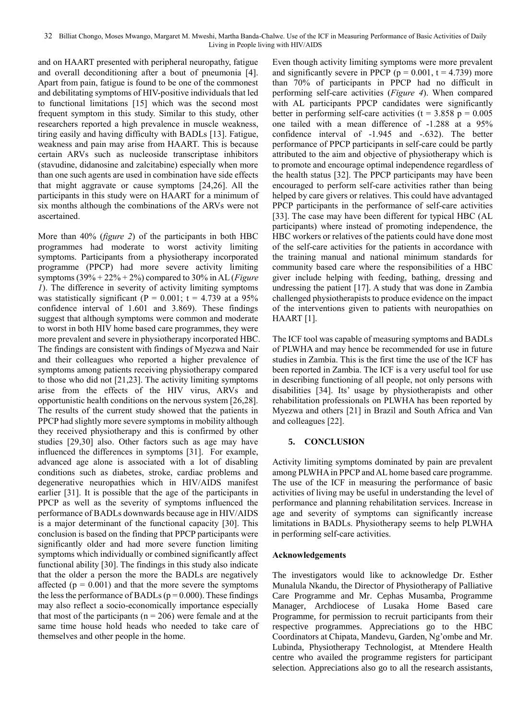and on HAART presented with peripheral neuropathy, fatigue and overall deconditioning after a bout of pneumonia [4]. Apart from pain, fatigue is found to be one of the commonest and debilitating symptoms of HIV-positive individuals that led to functional limitations [15] which was the second most frequent symptom in this study. Similar to this study, other researchers reported a high prevalence in muscle weakness, tiring easily and having difficulty with BADLs [13]. Fatigue, weakness and pain may arise from HAART. This is because certain ARVs such as nucleoside transcriptase inhibitors (stavudine, didanosine and zalcitabine) especially when more than one such agents are used in combination have side effects that might aggravate or cause symptoms [24,26]. All the participants in this study were on HAART for a minimum of six months although the combinations of the ARVs were not ascertained.

More than 40% (*figure 2*) of the participants in both HBC programmes had moderate to worst activity limiting symptoms. Participants from a physiotherapy incorporated programme (PPCP) had more severe activity limiting symptoms (39% + 22% + 2%) compared to 30% in AL (*Figure 1*). The difference in severity of activity limiting symptoms was statistically significant ( $P = 0.001$ ;  $t = 4.739$  at a 95% confidence interval of 1.601 and 3.869). These findings suggest that although symptoms were common and moderate to worst in both HIV home based care programmes, they were more prevalent and severe in physiotherapy incorporated HBC. The findings are consistent with findings of Myezwa and Nair and their colleagues who reported a higher prevalence of symptoms among patients receiving physiotherapy compared to those who did not [21,23]. The activity limiting symptoms arise from the effects of the HIV virus, ARVs and opportunistic health conditions on the nervous system [26,28]. The results of the current study showed that the patients in PPCP had slightly more severe symptoms in mobility although they received physiotherapy and this is confirmed by other studies [29,30] also. Other factors such as age may have influenced the differences in symptoms [31]. For example, advanced age alone is associated with a lot of disabling conditions such as diabetes, stroke, cardiac problems and degenerative neuropathies which in HIV/AIDS manifest earlier [31]. It is possible that the age of the participants in PPCP as well as the severity of symptoms influenced the performance of BADLs downwards because age in HIV/AIDS is a major determinant of the functional capacity [30]. This conclusion is based on the finding that PPCP participants were significantly older and had more severe function limiting symptoms which individually or combined significantly affect functional ability [30]. The findings in this study also indicate that the older a person the more the BADLs are negatively affected  $(p = 0.001)$  and that the more severe the symptoms the less the performance of BADLs ( $p = 0.000$ ). These findings may also reflect a socio-economically importance especially that most of the participants ( $n = 206$ ) were female and at the same time house hold heads who needed to take care of themselves and other people in the home.

Even though activity limiting symptoms were more prevalent and significantly severe in PPCP ( $p = 0.001$ ,  $t = 4.739$ ) more than 70% of participants in PPCP had no difficult in performing self-care activities (*Figure 4*). When compared with AL participants PPCP candidates were significantly better in performing self-care activities ( $t = 3.858$  p = 0.005 one tailed with a mean difference of -1.288 at a 95% confidence interval of -1.945 and -.632). The better performance of PPCP participants in self-care could be partly attributed to the aim and objective of physiotherapy which is to promote and encourage optimal independence regardless of the health status [32]. The PPCP participants may have been encouraged to perform self-care activities rather than being helped by care givers or relatives. This could have advantaged PPCP participants in the performance of self-care activities [33]. The case may have been different for typical HBC (AL participants) where instead of promoting independence, the HBC workers or relatives of the patients could have done most of the self-care activities for the patients in accordance with the training manual and national minimum standards for community based care where the responsibilities of a HBC giver include helping with feeding, bathing, dressing and undressing the patient [17]. A study that was done in Zambia challenged physiotherapists to produce evidence on the impact of the interventions given to patients with neuropathies on HAART [1].

The ICF tool was capable of measuring symptoms and BADLs of PLWHA and may hence be recommended for use in future studies in Zambia. This is the first time the use of the ICF has been reported in Zambia. The ICF is a very useful tool for use in describing functioning of all people, not only persons with disabilities [34]. Its' usage by physiotherapists and other rehabilitation professionals on PLWHA has been reported by Myezwa and others [21] in Brazil and South Africa and Van and colleagues [22].

#### **5. CONCLUSION**

Activity limiting symptoms dominated by pain are prevalent among PLWHA in PPCP and AL home based care programme. The use of the ICF in measuring the performance of basic activities of living may be useful in understanding the level of performance and planning rehabilitation services. Increase in age and severity of symptoms can significantly increase limitations in BADLs. Physiotherapy seems to help PLWHA in performing self-care activities.

#### **Acknowledgements**

The investigators would like to acknowledge Dr. Esther Munalula Nkandu, the Director of Physiotherapy of Palliative Care Programme and Mr. Cephas Musamba, Programme Manager, Archdiocese of Lusaka Home Based care Programme, for permission to recruit participants from their respective programmes. Appreciations go to the HBC Coordinators at Chipata, Mandevu, Garden, Ng'ombe and Mr. Lubinda, Physiotherapy Technologist, at Mtendere Health centre who availed the programme registers for participant selection. Appreciations also go to all the research assistants,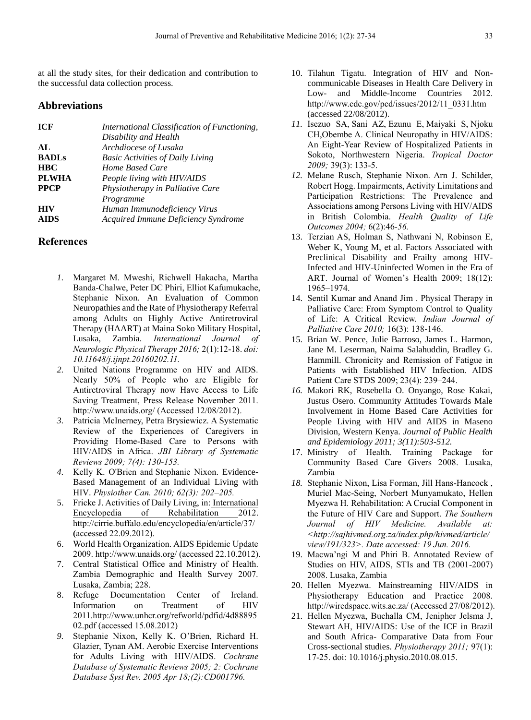at all the study sites, for their dedication and contribution to the successful data collection process.

### **Abbreviations**

| <b>ICF</b>   | International Classification of Functioning, |
|--------------|----------------------------------------------|
|              | Disability and Health                        |
| AI.          | Archdiocese of Lusaka                        |
| <b>BADLs</b> | <b>Basic Activities of Daily Living</b>      |
| <b>HBC</b>   | Home Based Care                              |
| <b>PLWHA</b> | People living with HIV/AIDS                  |
| <b>PPCP</b>  | Physiotherapy in Palliative Care             |
|              | Programme                                    |
| <b>HIV</b>   | Human Immunodeficiency Virus                 |
| <b>AIDS</b>  | Acquired Immune Deficiency Syndrome          |

## **References**

- *1.* Margaret M. Mweshi, Richwell Hakacha, Martha Banda-Chalwe, Peter DC Phiri, Elliot Kafumukache, Stephanie Nixon. An Evaluation of Common Neuropathies and the Rate of Physiotherapy Referral among Adults on Highly Active Antiretroviral Therapy (HAART) at Maina Soko Military Hospital, Lusaka, Zambia. *International Journal of Neurologic Physical Therapy 2016;* 2(1):12-18. *doi: 10.11648/j.ijnpt.20160202.11.*
- *2.* United Nations Programme on HIV and AIDS. Nearly 50% of People who are Eligible for Antiretroviral Therapy now Have Access to Life Saving Treatment, Press Release November 2011. <http://www.unaids.org/> (Accessed 12/08/2012).
- *3.* Patricia McInerney, Petra Brysiewicz. A Systematic Review of the Experiences of Caregivers in Providing Home-Based Care to Persons with HIV/AIDS in Africa. *JBI Library of Systematic Reviews 2009; 7(4): 130-153.*
- *4.* Kelly K. [O'Brien](http://www.ncbi.nlm.nih.gov/sites/entrez?cmd=search&db=PubMed&term=%20O) and Stephanie [Nixon.](http://www.ncbi.nlm.nih.gov/sites/entrez?cmd=search&db=PubMed&term=%20Nixon%2BSA%5bauth%5d) Evidence-Based Management of an Individual Living with HIV. *Physiother Can. 2010; 62(3): 202–205.*
- 5. Fricke J. Activities of Daily Living, in: International Encyclopedia of Rehabilitation 2012. <http://cirrie.buffalo.edu/encyclopedia/en/article/37/> **(**accessed 22.09.2012).
- 6. World Health Organization. AIDS Epidemic Update 2009[. http://www.unaids.org/](http://www.unaids.org/) (accessed 22.10.2012).
- 7. Central Statistical Office and Ministry of Health. Zambia Demographic and Health Survey 2007. Lusaka, Zambia; 228.
- 8. Refuge Documentation Center of Ireland. Information on Treatment of HIV 2011[.http://www.unhcr.org/refworld/pdfid/4d88895](http://www.unhcr.org/refworld/pdfid/4d8889502.pdf) [02.pdf](http://www.unhcr.org/refworld/pdfid/4d8889502.pdf) (accessed 15.08.2012)
- *9.* Stephanie Nixon, Kelly K. O'Brien, Richard H. Glazier, Tynan AM. Aerobic Exercise Interventions for Adults Living with HIV/AIDS. *Cochrane Database of Systematic Reviews 2005; 2: [Cochrane](http://www.ncbi.nlm.nih.gov/pubmed/15846623)  [Database Syst Rev.](http://www.ncbi.nlm.nih.gov/pubmed/15846623) 2005 Apr 18;(2):CD001796.*
- 10. Tilahun Tigatu. Integration of HIV and Noncommunicable Diseases in Health Care Delivery in Low- and Middle-Income Countries 2012. [http://www.cdc.gov/pcd/issues/2012/11\\_0331.htm](http://www.cdc.gov/pcd/issues/2012/11_0331.htm) (accessed 22/08/2012).
- *11.* [Isezuo](http://www.ncbi.nlm.nih.gov/pubmed?term=Isezuo%20SA%5BAuthor%5D&cauthor=true&cauthor_uid=19535744) SA, [Sani](http://www.ncbi.nlm.nih.gov/pubmed?term=Sani%20AZ%5BAuthor%5D&cauthor=true&cauthor_uid=19535744) AZ, [Ezunu](http://www.ncbi.nlm.nih.gov/pubmed?term=Ezunu%20E%5BAuthor%5D&cauthor=true&cauthor_uid=19535744) E, [Maiyaki](http://www.ncbi.nlm.nih.gov/pubmed?term=Maiyaki%20S%5BAuthor%5D&cauthor=true&cauthor_uid=19535744) S, [Njoku](http://www.ncbi.nlm.nih.gov/pubmed?term=Njoku%20CH%5BAuthor%5D&cauthor=true&cauthor_uid=19535744) [CH,](http://www.ncbi.nlm.nih.gov/pubmed?term=Njoku%20CH%5BAuthor%5D&cauthor=true&cauthor_uid=19535744)[Obembe](http://www.ncbi.nlm.nih.gov/pubmed?term=Obembe%20A%5BAuthor%5D&cauthor=true&cauthor_uid=19535744) A. Clinical Neuropathy in HIV/AIDS: An Eight-Year Review of Hospitalized Patients in Sokoto, Northwestern Nigeria. *[Tropical](http://www.ncbi.nlm.nih.gov/pubmed/19535744) Doctor 2009;* 39(3): 133-5.
- *12.* Melane Rusch, Stephanie Nixon. Arn J. Schilder, Robert Hogg. Impairments, Activity Limitations and Participation Restrictions: The Prevalence and Associations among Persons Living with HIV/AIDS in British Colombia. *Health Quality of Life Outcomes 2004;* 6(2):46*-56.*
- 13. Terzian AS, Holman S, Nathwani N, Robinson E, Weber K, Young M, et al. Factors Associated with Preclinical Disability and Frailty among HIV-Infected and HIV-Uninfected Women in the Era of ART. Journal of Women's Health 2009; 18(12): 1965–1974.
- 14. Sentil [Kumar](http://www.ncbi.nlm.nih.gov/sites/entrez?cmd=search&db=PubMed&term=%20Kumar%2BSP%5bauth%5d) and Anand [Jim](http://www.ncbi.nlm.nih.gov/sites/entrez?cmd=search&db=PubMed&term=%20Jim%2BA%5bauth%5d) . Physical Therapy in Palliative Care: From Symptom Control to Quality of Life: A Critical Review. *Indian Journal of Palliative Care 2010;* 16(3): 138-146.
- 15. Brian W. Pence, Julie Barroso, James L. Harmon, Jane M. Leserman, Naima Salahuddin, Bradley G. Hammill. Chronicity and Remission of Fatigue in Patients with Established HIV Infection. AIDS Patient Care STDS 2009; 23(4): 239–244.
- *16.* Makori RK, Rosebella O. Onyango, Rose Kakai, Justus Osero. Community Attitudes Towards Male Involvement in Home Based Care Activities for People Living with HIV and AIDS in Maseno Division, Western Kenya. *Journal of Public Health and Epidemiology 2011; 3(11):503-512.*
- 17. Ministry of Health. Training Package for Community Based Care Givers 2008. Lusaka, Zambia
- *18.* Stephanie Nixon, Lisa Forman, Jill Hans-Hancock , Muriel Mac-Seing, Norbert Munyamukato, Hellen Myezwa H. Rehabilitation: A Crucial Component in the Future of HIV Care and Support. *The Southern Journal of HIV Medicine. Available at: [<http://sajhivmed.org.za/index.php/hivmed/article/](http://sajhivmed.org.za/index.php/hivmed/article/view/191/323) [view/191/323>](http://sajhivmed.org.za/index.php/hivmed/article/view/191/323). Date accessed: 19 Jun. 2016.*
- 19. Macwa'ngi M and Phiri B. Annotated Review of Studies on HIV, AIDS, STIs and TB (2001-2007) 2008. Lusaka, Zambia
- 20. Hellen Myezwa. Mainstreaming HIV/AIDS in Physiotherapy Education and Practice 2008. <http://wiredspace.wits.ac.za/> (Accessed 27/08/2012).
- 21. Hellen Myezwa, [Buchalla CM,](http://www.ncbi.nlm.nih.gov/pubmed?term=Buchalla%20CM%5BAuthor%5D&cauthor=true&cauthor_uid=21295234) Jenipher [Jelsma J,](http://www.ncbi.nlm.nih.gov/pubmed?term=Jelsma%20J%5BAuthor%5D&cauthor=true&cauthor_uid=21295234)  [Stewart AH](http://www.ncbi.nlm.nih.gov/pubmed?term=Stewart%20A%5BAuthor%5D&cauthor=true&cauthor_uid=21295234), HIV/AIDS: Use of the ICF in Brazil and South Africa- Comparative Data from Four Cross-sectional studies. *Physiotherapy 2011;* 97(1): 17-25. doi: 10.1016/j.physio.2010.08.015.